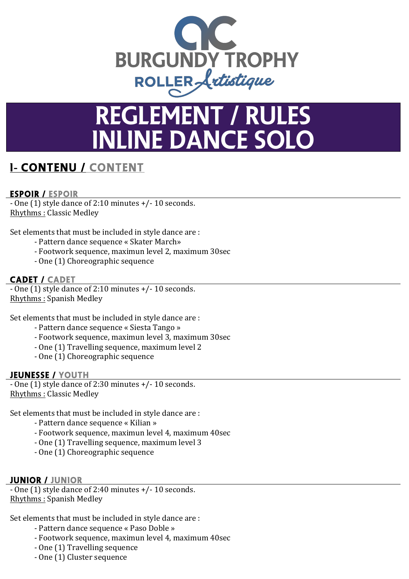

# REGLEMENT / RULES **NLINE DANCE SOLO**

# <sup>I</sup>**-** CONTENU / CONTENT

#### ESPOIR / ESPOIR

 $-$  One (1) style dance of 2:10 minutes  $+/- 10$  seconds. Rhythms : Classic Medley

Set elements that must be included in style dance are :

- Pattern dance sequence « Skater March»
- Footwork sequence, maximun level 2, maximum 30sec
- One (1) Choreographic sequence

#### CADET / CADET

- One  $(1)$  style dance of 2:10 minutes  $+/- 10$  seconds. Rhythms : Spanish Medley

Set elements that must be included in style dance are :

- Pattern dance sequence « Siesta Tango »
- Footwork sequence, maximun level 3, maximum 30sec
- One (1) Travelling sequence, maximum level 2
- One (1) Choreographic sequence

#### JEUNESSE / YOUTH

 $-$  One (1) style dance of 2:30 minutes  $+/- 10$  seconds. Rhythms : Classic Medley

Set elements that must be included in style dance are :

- Pattern dance sequence « Kilian »
- Footwork sequence, maximun level 4, maximum 40sec
- One (1) Travelling sequence, maximum level 3
- One (1) Choreographic sequence

#### JUNIOR / JuNIOR

 $-$  One (1) style dance of 2:40 minutes  $+/- 10$  seconds. Rhythms : Spanish Medley

Set elements that must be included in style dance are :

- Pattern dance sequence « Paso Doble »
- Footwork sequence, maximun level 4, maximum 40sec
- One (1) Travelling sequence
- One (1) Cluster sequence